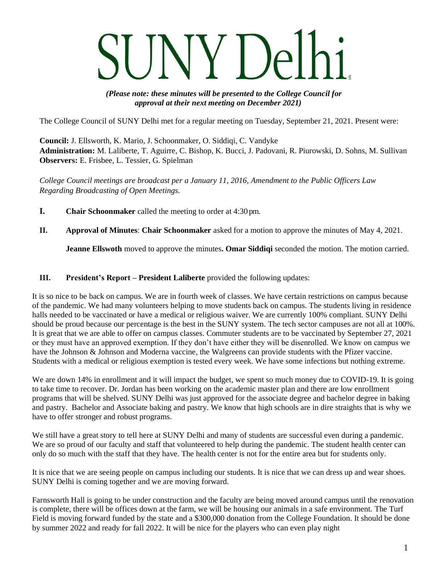# $V \cap \rho$

*(Please note: these minutes will be presented to the College Council for approval at their next meeting on December 2021)*

The College Council of SUNY Delhi met for a regular meeting on Tuesday, September 21, 2021. Present were:

**Council:** J. Ellsworth, K. Mario, J. Schoonmaker, O. Siddiqi, C. Vandyke **Administration:** M. Laliberte, T. Aguirre, C. Bishop, K. Bucci, J. Padovani, R. Piurowski, D. Sohns, M. Sullivan **Observers:** E. Frisbee, L. Tessier, G. Spielman

*College Council meetings are broadcast per a January 11, 2016, Amendment to the Public Officers Law Regarding Broadcasting of Open Meetings.*

- **I. Chair Schoonmaker** called the meeting to order at 4:30 pm.
- **II. Approval of Minutes**: **Chair Schoonmaker** asked for a motion to approve the minutes of May 4, 2021.

**Jeanne Ellswoth** moved to approve the minutes**. Omar Siddiqi** seconded the motion. The motion carried.

# **III. President's Report – President Laliberte** provided the following updates:

It is so nice to be back on campus. We are in fourth week of classes. We have certain restrictions on campus because of the pandemic. We had many volunteers helping to move students back on campus. The students living in residence halls needed to be vaccinated or have a medical or religious waiver. We are currently 100% compliant. SUNY Delhi should be proud because our percentage is the best in the SUNY system. The tech sector campuses are not all at 100%. It is great that we are able to offer on campus classes. Commuter students are to be vaccinated by September 27, 2021 or they must have an approved exemption. If they don't have either they will be disenrolled. We know on campus we have the Johnson & Johnson and Moderna vaccine, the Walgreens can provide students with the Pfizer vaccine. Students with a medical or religious exemption is tested every week. We have some infections but nothing extreme.

We are down 14% in enrollment and it will impact the budget, we spent so much money due to COVID-19. It is going to take time to recover. Dr. Jordan has been working on the academic master plan and there are low enrollment programs that will be shelved. SUNY Delhi was just approved for the associate degree and bachelor degree in baking and pastry. Bachelor and Associate baking and pastry. We know that high schools are in dire straights that is why we have to offer stronger and robust programs.

We still have a great story to tell here at SUNY Delhi and many of students are successful even during a pandemic. We are so proud of our faculty and staff that volunteered to help during the pandemic. The student health center can only do so much with the staff that they have. The health center is not for the entire area but for students only.

It is nice that we are seeing people on campus including our students. It is nice that we can dress up and wear shoes. SUNY Delhi is coming together and we are moving forward.

Farnsworth Hall is going to be under construction and the faculty are being moved around campus until the renovation is complete, there will be offices down at the farm, we will be housing our animals in a safe environment. The Turf Field is moving forward funded by the state and a \$300,000 donation from the College Foundation. It should be done by summer 2022 and ready for fall 2022. It will be nice for the players who can even play night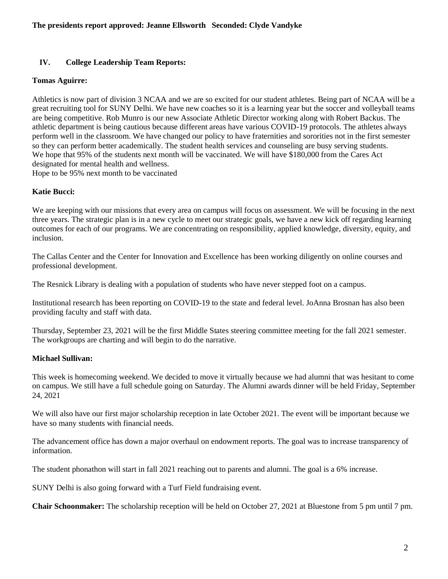# **IV. College Leadership Team Reports:**

## **Tomas Aguirre:**

Athletics is now part of division 3 NCAA and we are so excited for our student athletes. Being part of NCAA will be a great recruiting tool for SUNY Delhi. We have new coaches so it is a learning year but the soccer and volleyball teams are being competitive. Rob Munro is our new Associate Athletic Director working along with Robert Backus. The athletic department is being cautious because different areas have various COVID-19 protocols. The athletes always perform well in the classroom. We have changed our policy to have fraternities and sororities not in the first semester so they can perform better academically. The student health services and counseling are busy serving students. We hope that 95% of the students next month will be vaccinated. We will have \$180,000 from the Cares Act designated for mental health and wellness.

Hope to be 95% next month to be vaccinated

# **Katie Bucci:**

We are keeping with our missions that every area on campus will focus on assessment. We will be focusing in the next three years. The strategic plan is in a new cycle to meet our strategic goals, we have a new kick off regarding learning outcomes for each of our programs. We are concentrating on responsibility, applied knowledge, diversity, equity, and inclusion.

The Callas Center and the Center for Innovation and Excellence has been working diligently on online courses and professional development.

The Resnick Library is dealing with a population of students who have never stepped foot on a campus.

Institutional research has been reporting on COVID-19 to the state and federal level. JoAnna Brosnan has also been providing faculty and staff with data.

Thursday, September 23, 2021 will be the first Middle States steering committee meeting for the fall 2021 semester. The workgroups are charting and will begin to do the narrative.

## **Michael Sullivan:**

This week is homecoming weekend. We decided to move it virtually because we had alumni that was hesitant to come on campus. We still have a full schedule going on Saturday. The Alumni awards dinner will be held Friday, September 24, 2021

We will also have our first major scholarship reception in late October 2021. The event will be important because we have so many students with financial needs.

The advancement office has down a major overhaul on endowment reports. The goal was to increase transparency of information.

The student phonathon will start in fall 2021 reaching out to parents and alumni. The goal is a 6% increase.

SUNY Delhi is also going forward with a Turf Field fundraising event.

**Chair Schoonmaker:** The scholarship reception will be held on October 27, 2021 at Bluestone from 5 pm until 7 pm.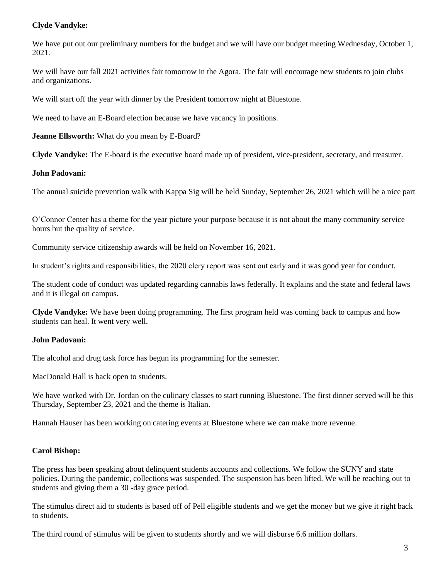# **Clyde Vandyke:**

We have put out our preliminary numbers for the budget and we will have our budget meeting Wednesday, October 1, 2021.

We will have our fall 2021 activities fair tomorrow in the Agora. The fair will encourage new students to join clubs and organizations.

We will start off the year with dinner by the President tomorrow night at Bluestone.

We need to have an E-Board election because we have vacancy in positions.

**Jeanne Ellsworth:** What do you mean by E-Board?

**Clyde Vandyke:** The E-board is the executive board made up of president, vice-president, secretary, and treasurer.

#### **John Padovani:**

The annual suicide prevention walk with Kappa Sig will be held Sunday, September 26, 2021 which will be a nice part

O'Connor Center has a theme for the year picture your purpose because it is not about the many community service hours but the quality of service.

Community service citizenship awards will be held on November 16, 2021.

In student's rights and responsibilities, the 2020 clery report was sent out early and it was good year for conduct.

The student code of conduct was updated regarding cannabis laws federally. It explains and the state and federal laws and it is illegal on campus.

**Clyde Vandyke:** We have been doing programming. The first program held was coming back to campus and how students can heal. It went very well.

## **John Padovani:**

The alcohol and drug task force has begun its programming for the semester.

MacDonald Hall is back open to students.

We have worked with Dr. Jordan on the culinary classes to start running Bluestone. The first dinner served will be this Thursday, September 23, 2021 and the theme is Italian.

Hannah Hauser has been working on catering events at Bluestone where we can make more revenue.

## **Carol Bishop:**

The press has been speaking about delinquent students accounts and collections. We follow the SUNY and state policies. During the pandemic, collections was suspended. The suspension has been lifted. We will be reaching out to students and giving them a 30 -day grace period.

The stimulus direct aid to students is based off of Pell eligible students and we get the money but we give it right back to students.

The third round of stimulus will be given to students shortly and we will disburse 6.6 million dollars.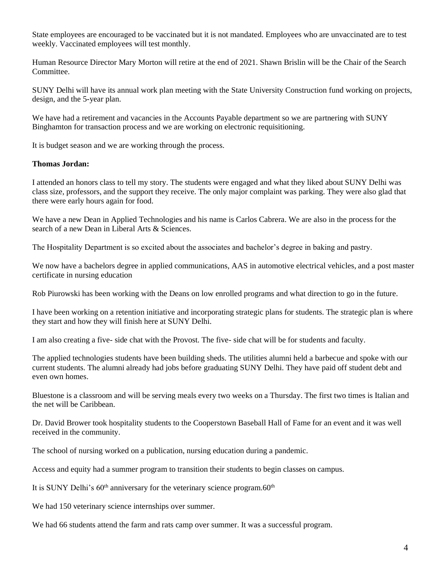State employees are encouraged to be vaccinated but it is not mandated. Employees who are unvaccinated are to test weekly. Vaccinated employees will test monthly.

Human Resource Director Mary Morton will retire at the end of 2021. Shawn Brislin will be the Chair of the Search Committee.

SUNY Delhi will have its annual work plan meeting with the State University Construction fund working on projects, design, and the 5-year plan.

We have had a retirement and vacancies in the Accounts Payable department so we are partnering with SUNY Binghamton for transaction process and we are working on electronic requisitioning.

It is budget season and we are working through the process.

#### **Thomas Jordan:**

I attended an honors class to tell my story. The students were engaged and what they liked about SUNY Delhi was class size, professors, and the support they receive. The only major complaint was parking. They were also glad that there were early hours again for food.

We have a new Dean in Applied Technologies and his name is Carlos Cabrera. We are also in the process for the search of a new Dean in Liberal Arts & Sciences.

The Hospitality Department is so excited about the associates and bachelor's degree in baking and pastry.

We now have a bachelors degree in applied communications, AAS in automotive electrical vehicles, and a post master certificate in nursing education

Rob Piurowski has been working with the Deans on low enrolled programs and what direction to go in the future.

I have been working on a retention initiative and incorporating strategic plans for students. The strategic plan is where they start and how they will finish here at SUNY Delhi.

I am also creating a five- side chat with the Provost. The five- side chat will be for students and faculty.

The applied technologies students have been building sheds. The utilities alumni held a barbecue and spoke with our current students. The alumni already had jobs before graduating SUNY Delhi. They have paid off student debt and even own homes.

Bluestone is a classroom and will be serving meals every two weeks on a Thursday. The first two times is Italian and the net will be Caribbean.

Dr. David Brower took hospitality students to the Cooperstown Baseball Hall of Fame for an event and it was well received in the community.

The school of nursing worked on a publication, nursing education during a pandemic.

Access and equity had a summer program to transition their students to begin classes on campus.

It is SUNY Delhi's  $60<sup>th</sup>$  anniversary for the veterinary science program. $60<sup>th</sup>$ 

We had 150 veterinary science internships over summer.

We had 66 students attend the farm and rats camp over summer. It was a successful program.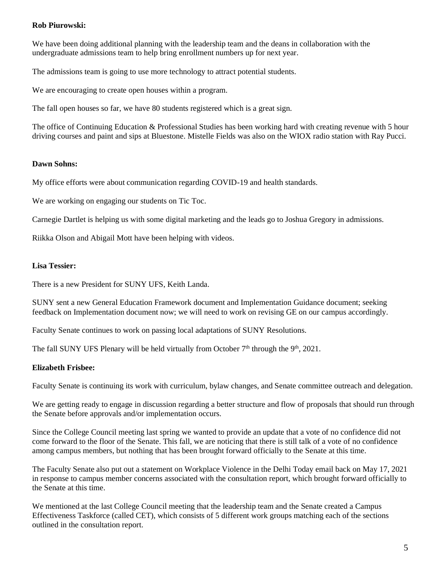## **Rob Piurowski:**

We have been doing additional planning with the leadership team and the deans in collaboration with the undergraduate admissions team to help bring enrollment numbers up for next year.

The admissions team is going to use more technology to attract potential students.

We are encouraging to create open houses within a program.

The fall open houses so far, we have 80 students registered which is a great sign.

The office of Continuing Education & Professional Studies has been working hard with creating revenue with 5 hour driving courses and paint and sips at Bluestone. Mistelle Fields was also on the WIOX radio station with Ray Pucci.

#### **Dawn Sohns:**

My office efforts were about communication regarding COVID-19 and health standards.

We are working on engaging our students on Tic Toc.

Carnegie Dartlet is helping us with some digital marketing and the leads go to Joshua Gregory in admissions.

Riikka Olson and Abigail Mott have been helping with videos.

#### **Lisa Tessier:**

There is a new President for SUNY UFS, Keith Landa.

SUNY sent a new General Education Framework document and Implementation Guidance document; seeking feedback on Implementation document now; we will need to work on revising GE on our campus accordingly.

Faculty Senate continues to work on passing local adaptations of SUNY Resolutions.

The fall SUNY UFS Plenary will be held virtually from October  $7<sup>th</sup>$  through the  $9<sup>th</sup>$ , 2021.

## **Elizabeth Frisbee:**

Faculty Senate is continuing its work with curriculum, bylaw changes, and Senate committee outreach and delegation.

We are getting ready to engage in discussion regarding a better structure and flow of proposals that should run through the Senate before approvals and/or implementation occurs.

Since the College Council meeting last spring we wanted to provide an update that a vote of no confidence did not come forward to the floor of the Senate. This fall, we are noticing that there is still talk of a vote of no confidence among campus members, but nothing that has been brought forward officially to the Senate at this time.

The Faculty Senate also put out a statement on Workplace Violence in the Delhi Today email back on May 17, 2021 in response to campus member concerns associated with the consultation report, which brought forward officially to the Senate at this time.

We mentioned at the last College Council meeting that the leadership team and the Senate created a Campus Effectiveness Taskforce (called CET), which consists of 5 different work groups matching each of the sections outlined in the consultation report.